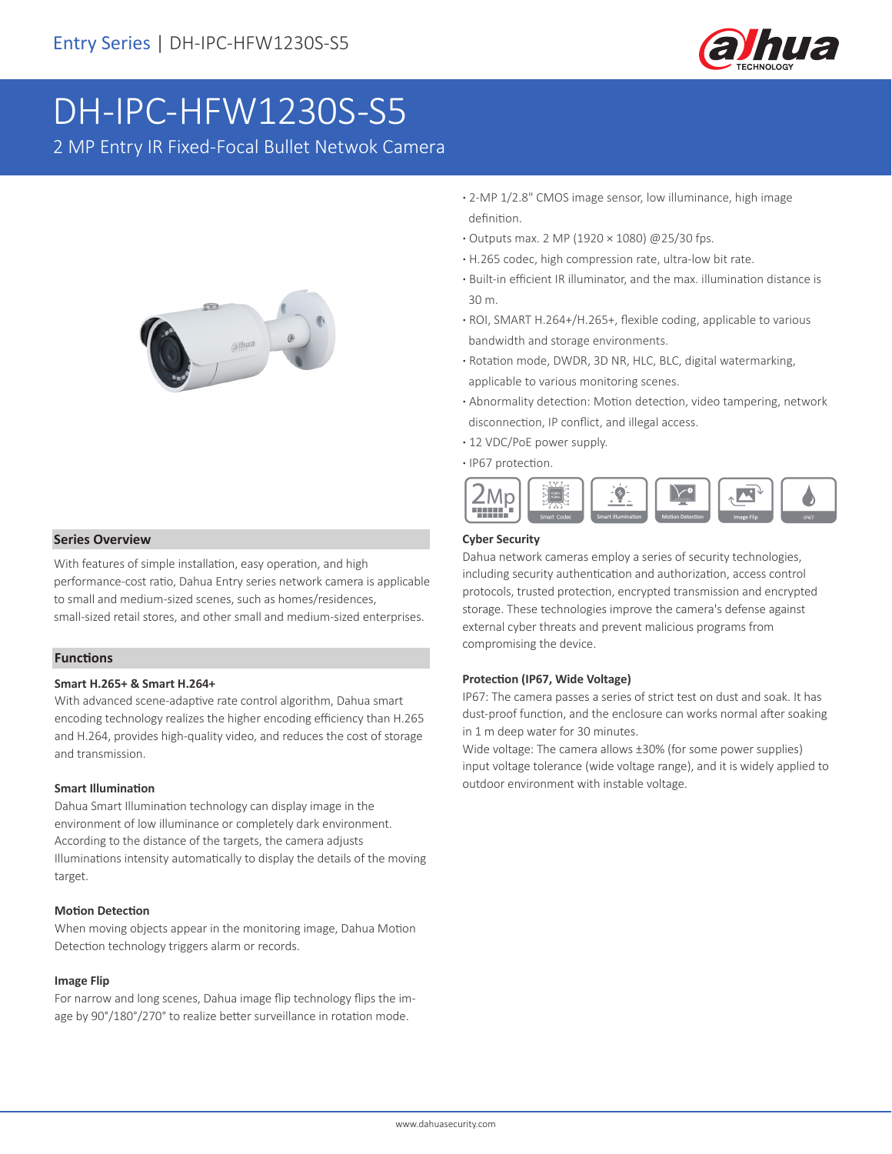

# DH-IPC-HFW1230S-S5

2 MP Entry IR Fixed-Focal Bullet Netwok Camera



#### **Series Overview**

With features of simple installation, easy operation, and high performance-cost ratio, Dahua Entry series network camera is applicable to small and medium-sized scenes, such as homes/residences, small-sized retail stores, and other small and medium-sized enterprises.

#### **Functions**

#### **Smart H.265+ & Smart H.264+**

With advanced scene-adaptive rate control algorithm, Dahua smart encoding technology realizes the higher encoding efficiency than H.265 and H.264, provides high-quality video, and reduces the cost of storage and transmission.

#### **Smart Illumination**

Dahua Smart Illumination technology can display image in the environment of low illuminance or completely dark environment. According to the distance of the targets, the camera adjusts Illuminations intensity automatically to display the details of the moving target.

#### **Motion Detection**

When moving objects appear in the monitoring image, Dahua Motion Detection technology triggers alarm or records.

#### **Image Flip**

For narrow and long scenes, Dahua image flip technology flips the image by 90°/180°/270° to realize better surveillance in rotation mode.

- **·** 2-MP 1/2.8" CMOS image sensor, low illuminance, high image definition.
- **·** Outputs max. 2 MP (1920 × 1080) @25/30 fps.
- **·** H.265 codec, high compression rate, ultra-low bit rate.
- **·** Built-in efficient IR illuminator, and the max. illumination distance is 30 m.
- **·** ROI, SMART H.264+/H.265+, flexible coding, applicable to various bandwidth and storage environments.
- **·** Rotation mode, DWDR, 3D NR, HLC, BLC, digital watermarking, applicable to various monitoring scenes.
- **·** Abnormality detection: Motion detection, video tampering, network disconnection, IP conflict, and illegal access.
- **·** 12 VDC/PoE power supply.
- **·** IP67 protection.



#### **Cyber Security**

Dahua network cameras employ a series of security technologies, including security authentication and authorization, access control protocols, trusted protection, encrypted transmission and encrypted storage. These technologies improve the camera's defense against external cyber threats and prevent malicious programs from compromising the device.

#### **Protection (IP67, Wide Voltage)**

IP67: The camera passes a series of strict test on dust and soak. It has dust-proof function, and the enclosure can works normal after soaking in 1 m deep water for 30 minutes.

Wide voltage: The camera allows ±30% (for some power supplies) input voltage tolerance (wide voltage range), and it is widely applied to outdoor environment with instable voltage.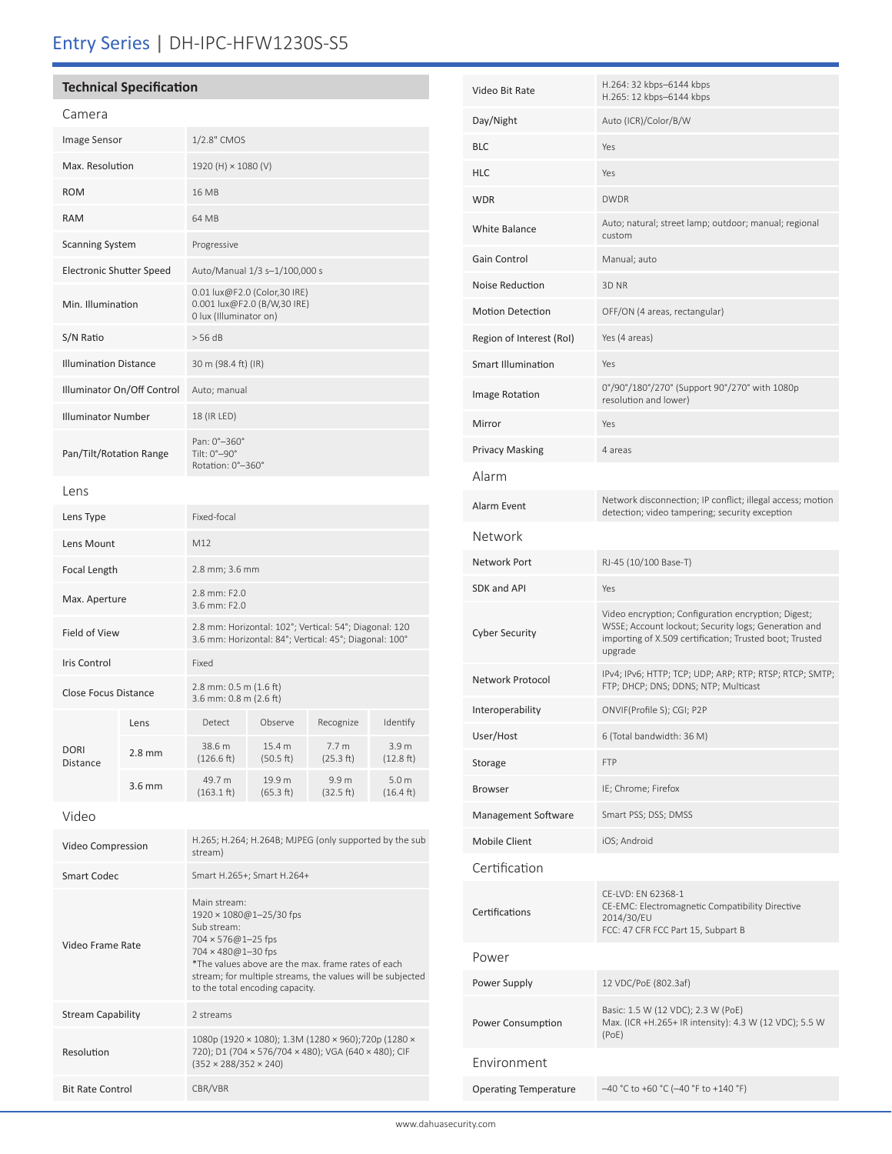# Entry Series | DH-IPC-HFW1230S-S5

## **Technical Specification**

| Camera                          |          |                                                                                                                  |                     |                               |                                         |
|---------------------------------|----------|------------------------------------------------------------------------------------------------------------------|---------------------|-------------------------------|-----------------------------------------|
| Image Sensor                    |          | 1/2.8" CMOS                                                                                                      |                     |                               |                                         |
| Max. Resolution                 |          | 1920 (H) × 1080 (V)                                                                                              |                     |                               |                                         |
| <b>ROM</b>                      |          | 16 MB                                                                                                            |                     |                               |                                         |
| <b>RAM</b>                      |          | 64 MB                                                                                                            |                     |                               |                                         |
| <b>Scanning System</b>          |          | Progressive                                                                                                      |                     |                               |                                         |
| <b>Electronic Shutter Speed</b> |          | Auto/Manual 1/3 s-1/100,000 s                                                                                    |                     |                               |                                         |
| Min. Illumination               |          | 0.01 lux@F2.0 (Color,30 IRE)<br>0.001 lux@F2.0 (B/W,30 IRE)<br>0 lux (Illuminator on)                            |                     |                               |                                         |
| S/N Ratio                       |          | > 56 dB                                                                                                          |                     |                               |                                         |
| <b>Illumination Distance</b>    |          | 30 m (98.4 ft) (IR)                                                                                              |                     |                               |                                         |
| Illuminator On/Off Control      |          | Auto; manual                                                                                                     |                     |                               |                                         |
| <b>Illuminator Number</b>       |          | 18 (IR LED)                                                                                                      |                     |                               |                                         |
| Pan/Tilt/Rotation Range         |          | Pan: 0°-360°<br>Tilt: 0°-90°<br>Rotation: 0°-360°                                                                |                     |                               |                                         |
| Lens                            |          |                                                                                                                  |                     |                               |                                         |
| Lens Type                       |          | Fixed-focal                                                                                                      |                     |                               |                                         |
| Lens Mount                      |          | M12                                                                                                              |                     |                               |                                         |
| Focal Length                    |          | 2.8 mm; 3.6 mm                                                                                                   |                     |                               |                                         |
| Max. Aperture                   |          | 2.8 mm: F2.0<br>3.6 mm: F2.0                                                                                     |                     |                               |                                         |
| Field of View                   |          | 2.8 mm: Horizontal: 102°; Vertical: 54°; Diagonal: 120<br>3.6 mm: Horizontal: 84°; Vertical: 45°; Diagonal: 100° |                     |                               |                                         |
| <b>Iris Control</b>             |          | Fixed                                                                                                            |                     |                               |                                         |
| <b>Close Focus Distance</b>     |          | 2.8 mm: 0.5 m (1.6 ft)<br>3.6 mm: 0.8 m (2.6 ft)                                                                 |                     |                               |                                         |
| <b>DORI</b><br><b>Distance</b>  | Lens     | Detect                                                                                                           | Observe             | Recognize                     | Identify                                |
|                                 | $2.8$ mm | 38.6 m<br>(126.6 ft)                                                                                             | 15.4 m<br>(50.5 ft) | 7.7 <sub>m</sub><br>(25.3 ft) | 3.9 m<br>(12.8 ft)                      |
|                                 | 3.6 mm   | 49.7 m<br>(163.1 ft)                                                                                             | 19.9 m<br>(65.3 ft) | 9.9 m<br>(32.5 ft)            | 5.0 <sub>m</sub><br>$(16.4 \text{ ft})$ |
| Video                           |          |                                                                                                                  |                     |                               |                                         |
| Video Compression               |          | H.265; H.264; H.264B; MJPEG (only supported by the sub<br>stream)                                                |                     |                               |                                         |

Smart Codec Smart H.265+; Smart H.264+

Main stream:

Sub stream: 704 × 576@1–25 fps 704 × 480@1–30 fps

1920 × 1080@1–25/30 fps

to the total encoding capacity.

(352 × 288/352 × 240)

\*The values above are the max. frame rates of each stream; for multiple streams, the values will be subjected

1080p (1920 × 1080); 1.3M (1280 × 960);720p (1280 × 720); D1 (704 × 576/704 × 480); VGA (640 × 480); CIF

Video Frame Rate

Resolution

Stream Capability 2 streams

Bit Rate Control CBR/VBR

| Day/Night                    | Auto (ICR)/Color/B/W                                                                                                                                                              |  |  |  |  |
|------------------------------|-----------------------------------------------------------------------------------------------------------------------------------------------------------------------------------|--|--|--|--|
| <b>BLC</b>                   | Yes                                                                                                                                                                               |  |  |  |  |
| HLC                          | Yes                                                                                                                                                                               |  |  |  |  |
| <b>WDR</b>                   | <b>DWDR</b>                                                                                                                                                                       |  |  |  |  |
| White Balance                | Auto; natural; street lamp; outdoor; manual; regional<br>custom                                                                                                                   |  |  |  |  |
| Gain Control                 | Manual; auto                                                                                                                                                                      |  |  |  |  |
| Noise Reduction              | 3D NR                                                                                                                                                                             |  |  |  |  |
| <b>Motion Detection</b>      | OFF/ON (4 areas, rectangular)                                                                                                                                                     |  |  |  |  |
| Region of Interest (RoI)     | Yes (4 areas)                                                                                                                                                                     |  |  |  |  |
| <b>Smart Illumination</b>    | Yes                                                                                                                                                                               |  |  |  |  |
| Image Rotation               | 0°/90°/180°/270° (Support 90°/270° with 1080p<br>resolution and lower)                                                                                                            |  |  |  |  |
| Mirror                       | Yes                                                                                                                                                                               |  |  |  |  |
| <b>Privacy Masking</b>       | 4 areas                                                                                                                                                                           |  |  |  |  |
| Alarm                        |                                                                                                                                                                                   |  |  |  |  |
| Alarm Event                  | Network disconnection; IP conflict; illegal access; motion<br>detection; video tampering; security exception                                                                      |  |  |  |  |
| Network                      |                                                                                                                                                                                   |  |  |  |  |
| Network Port                 | RJ-45 (10/100 Base-T)                                                                                                                                                             |  |  |  |  |
| <b>SDK and API</b>           | Yes                                                                                                                                                                               |  |  |  |  |
| <b>Cyber Security</b>        | Video encryption; Configuration encryption; Digest;<br>WSSE; Account lockout; Security logs; Generation and<br>importing of X.509 certification; Trusted boot; Trusted<br>upgrade |  |  |  |  |
| Network Protocol             | IPv4; IPv6; HTTP; TCP; UDP; ARP; RTP; RTSP; RTCP; SMTP;<br>FTP; DHCP; DNS; DDNS; NTP; Multicast                                                                                   |  |  |  |  |
| Interoperability             | ONVIF(Profile S); CGI; P2P                                                                                                                                                        |  |  |  |  |
| User/Host                    | 6 (Total bandwidth: 36 M)                                                                                                                                                         |  |  |  |  |
| Storage                      | <b>FTP</b>                                                                                                                                                                        |  |  |  |  |
| <b>Browser</b>               | IE; Chrome; Firefox                                                                                                                                                               |  |  |  |  |
| Management Software          | Smart PSS; DSS; DMSS                                                                                                                                                              |  |  |  |  |
| <b>Mobile Client</b>         | iOS; Android                                                                                                                                                                      |  |  |  |  |
| Certification                |                                                                                                                                                                                   |  |  |  |  |
| Certifications               | CE-LVD: EN 62368-1<br>CE-EMC: Electromagnetic Compatibility Directive<br>2014/30/EU<br>FCC: 47 CFR FCC Part 15, Subpart B                                                         |  |  |  |  |
| Power                        |                                                                                                                                                                                   |  |  |  |  |
| Power Supply                 | 12 VDC/PoE (802.3af)                                                                                                                                                              |  |  |  |  |
| Power Consumption            | Basic: 1.5 W (12 VDC); 2.3 W (PoE)<br>Max. (ICR +H.265+ IR intensity): 4.3 W (12 VDC); 5.5 W<br>(PoE)                                                                             |  |  |  |  |
| Environment                  |                                                                                                                                                                                   |  |  |  |  |
| <b>Operating Temperature</b> | -40 °C to +60 °C (-40 °F to +140 °F)                                                                                                                                              |  |  |  |  |
|                              |                                                                                                                                                                                   |  |  |  |  |

Video Bit Rate H.264: 32 kbps–6144 kbps<br>H.265: 12 kbps–6144 kbps

H.265: 12 kbps–6144 kbps